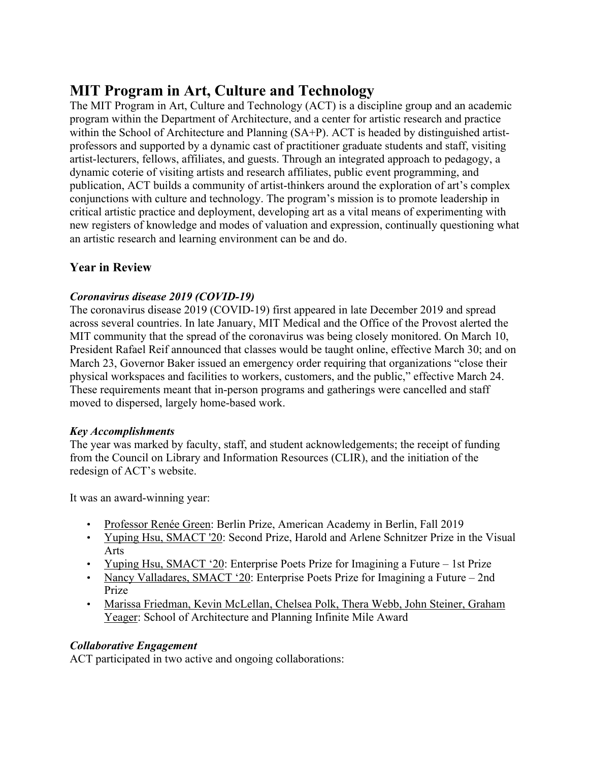# **MIT Program in Art, Culture and Technology**

The MIT Program in Art, Culture and Technology (ACT) is a discipline group and an academic program within the Department of Architecture, and a center for artistic research and practice within the School of Architecture and Planning (SA+P). ACT is headed by distinguished artistprofessors and supported by a dynamic cast of practitioner graduate students and staff, visiting artist-lecturers, fellows, affiliates, and guests. Through an integrated approach to pedagogy, a dynamic coterie of visiting artists and research affiliates, public event programming, and publication, ACT builds a community of artist-thinkers around the exploration of art's complex conjunctions with culture and technology. The program's mission is to promote leadership in critical artistic practice and deployment, developing art as a vital means of experimenting with new registers of knowledge and modes of valuation and expression, continually questioning what an artistic research and learning environment can be and do.

# **Year in Review**

# *Coronavirus disease 2019 (COVID-19)*

The coronavirus disease 2019 (COVID-19) first appeared in late December 2019 and spread across several countries. In late January, MIT Medical and the Office of the Provost alerted the MIT community that the spread of the coronavirus was being closely monitored. On March 10, President Rafael Reif announced that classes would be taught online, effective March 30; and on March 23, Governor Baker issued an emergency order requiring that organizations "close their physical workspaces and facilities to workers, customers, and the public," effective March 24. These requirements meant that in-person programs and gatherings were cancelled and staff moved to dispersed, largely home-based work.

## *Key Accomplishments*

The year was marked by faculty, staff, and student acknowledgements; the receipt of funding from the Council on Library and Information Resources (CLIR), and the initiation of the redesign of ACT's website.

It was an award-winning year:

- Professor Renée Green: Berlin Prize, American Academy in Berlin, Fall 2019
- Yuping Hsu, SMACT '20: Second Prize, Harold and Arlene Schnitzer Prize in the Visual Arts
- Yuping Hsu, SMACT '20: Enterprise Poets Prize for Imagining a Future 1st Prize
- Nancy Valladares, SMACT '20: Enterprise Poets Prize for Imagining a Future 2nd Prize
- Marissa Friedman, Kevin McLellan, Chelsea Polk, Thera Webb, John Steiner, Graham Yeager: School of Architecture and Planning Infinite Mile Award

# *Collaborative Engagement*

ACT participated in two active and ongoing collaborations: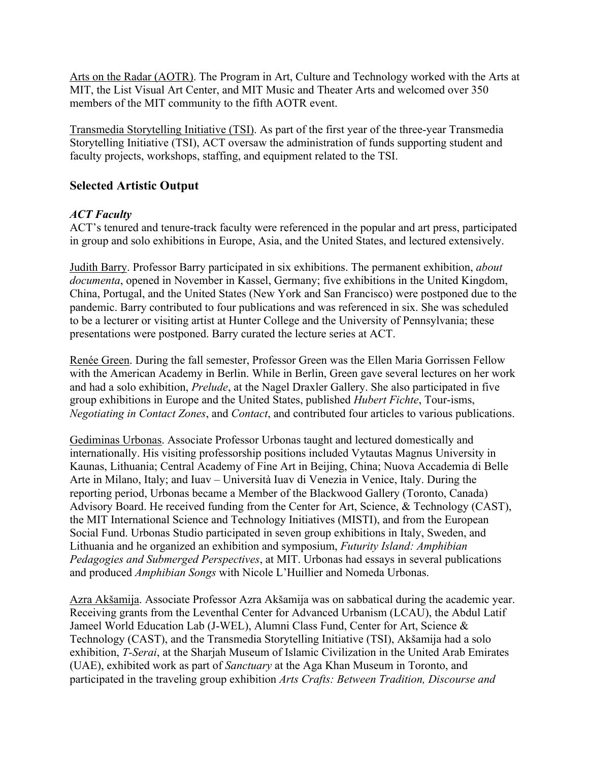Arts on the Radar (AOTR). The Program in Art, Culture and Technology worked with the Arts at MIT, the List Visual Art Center, and MIT Music and Theater Arts and welcomed over 350 members of the MIT community to the fifth AOTR event.

Transmedia Storytelling Initiative (TSI). As part of the first year of the three-year Transmedia Storytelling Initiative (TSI), ACT oversaw the administration of funds supporting student and faculty projects, workshops, staffing, and equipment related to the TSI.

## **Selected Artistic Output**

## *ACT Faculty*

ACT's tenured and tenure-track faculty were referenced in the popular and art press, participated in group and solo exhibitions in Europe, Asia, and the United States, and lectured extensively.

Judith Barry. Professor Barry participated in six exhibitions. The permanent exhibition, *about documenta*, opened in November in Kassel, Germany; five exhibitions in the United Kingdom, China, Portugal, and the United States (New York and San Francisco) were postponed due to the pandemic. Barry contributed to four publications and was referenced in six. She was scheduled to be a lecturer or visiting artist at Hunter College and the University of Pennsylvania; these presentations were postponed. Barry curated the lecture series at ACT.

Renée Green. During the fall semester, Professor Green was the Ellen Maria Gorrissen Fellow with the American Academy in Berlin. While in Berlin, Green gave several lectures on her work and had a solo exhibition, *Prelude*, at the Nagel Draxler Gallery. She also participated in five group exhibitions in Europe and the United States, published *Hubert Fichte*, Tour-isms, *Negotiating in Contact Zones*, and *Contact*, and contributed four articles to various publications.

Gediminas Urbonas. Associate Professor Urbonas taught and lectured domestically and internationally. His visiting professorship positions included Vytautas Magnus University in Kaunas, Lithuania; Central Academy of Fine Art in Beijing, China; Nuova Accademia di Belle Arte in Milano, Italy; and Iuav – Università Iuav di Venezia in Venice, Italy. During the reporting period, Urbonas became a Member of the Blackwood Gallery (Toronto, Canada) Advisory Board. He received funding from the Center for Art, Science, & Technology (CAST), the MIT International Science and Technology Initiatives (MISTI), and from the European Social Fund. Urbonas Studio participated in seven group exhibitions in Italy, Sweden, and Lithuania and he organized an exhibition and symposium, *Futurity Island: Amphibian Pedagogies and Submerged Perspectives*, at MIT. Urbonas had essays in several publications and produced *Amphibian Songs* with Nicole L'Huillier and Nomeda Urbonas.

Azra Akšamija. Associate Professor Azra Akšamija was on sabbatical during the academic year. Receiving grants from the Leventhal Center for Advanced Urbanism (LCAU), the Abdul Latif Jameel World Education Lab (J-WEL), Alumni Class Fund, Center for Art, Science & Technology (CAST), and the Transmedia Storytelling Initiative (TSI), Akšamija had a solo exhibition, *T-Serai*, at the Sharjah Museum of Islamic Civilization in the United Arab Emirates (UAE), exhibited work as part of *Sanctuary* at the Aga Khan Museum in Toronto, and participated in the traveling group exhibition *Arts Crafts: Between Tradition, Discourse and*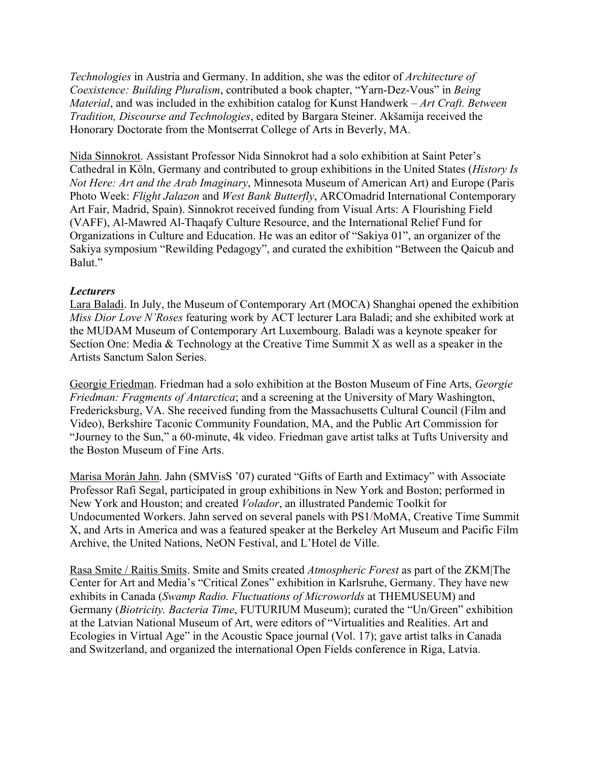*Technologies* in Austria and Germany. In addition, she was the editor of *Architecture of Coexistence: Building Pluralism*, contributed a book chapter, "Yarn-Dez-Vous" in *Being Material*, and was included in the exhibition catalog for Kunst Handwerk – *Art Craft. Between Tradition, Discourse and Technologies*, edited by Bargara Steiner. Akšamija received the Honorary Doctorate from the Montserrat College of Arts in Beverly, MA.

Nida Sinnokrot. Assistant Professor Nida Sinnokrot had a solo exhibition at Saint Peter's Cathedral in Köln, Germany and contributed to group exhibitions in the United States (*History Is Not Here: Art and the Arab Imaginary*, Minnesota Museum of American Art) and Europe (Paris Photo Week: *Flight Jalazon* and *West Bank Butterfly*, ARCOmadrid International Contemporary Art Fair, Madrid, Spain). Sinnokrot received funding from Visual Arts: A Flourishing Field (VAFF), Al-Mawred Al-Thaqafy Culture Resource, and the International Relief Fund for Organizations in Culture and Education. He was an editor of "Sakiya 01", an organizer of the Sakiya symposium "Rewilding Pedagogy", and curated the exhibition "Between the Qaicub and Balut."

#### *Lecturers*

Lara Baladi. In July, the Museum of Contemporary Art (MOCA) Shanghai opened the exhibition *Miss Dior Love N'Roses* featuring work by ACT lecturer Lara Baladi; and she exhibited work at the MUDAM Museum of Contemporary Art Luxembourg. Baladi was a keynote speaker for Section One: Media & Technology at the Creative Time Summit X as well as a speaker in the Artists Sanctum Salon Series.

Georgie Friedman. Friedman had a solo exhibition at the Boston Museum of Fine Arts, *Georgie Friedman: Fragments of Antarctica*; and a screening at the University of Mary Washington, Fredericksburg, VA. She received funding from the Massachusetts Cultural Council (Film and Video), Berkshire Taconic Community Foundation, MA, and the Public Art Commission for "Journey to the Sun," a 60-minute, 4k video. Friedman gave artist talks at Tufts University and the Boston Museum of Fine Arts.

Marisa Morán Jahn. Jahn (SMVisS '07) curated "Gifts of Earth and Extimacy" with Associate Professor Rafi Segal, participated in group exhibitions in New York and Boston; performed in New York and Houston; and created *Volador*, an illustrated Pandemic Toolkit for Undocumented Workers. Jahn served on several panels with PS1/MoMA, Creative Time Summit X, and Arts in America and was a featured speaker at the Berkeley Art Museum and Pacific Film Archive, the United Nations, NeON Festival, and L'Hotel de Ville.

Rasa Smite / Raitis Smits. Smite and Smits created *Atmospheric Forest* as part of the ZKM|The Center for Art and Media's "Critical Zones" exhibition in Karlsruhe, Germany. They have new exhibits in Canada (*Swamp Radio. Fluctuations of Microworlds* at THEMUSEUM) and Germany (*Biotricity. Bacteria Time*, FUTURIUM Museum); curated the "Un/Green" exhibition at the Latvian National Museum of Art, were editors of "Virtualities and Realities. Art and Ecologies in Virtual Age" in the Acoustic Space journal (Vol. 17); gave artist talks in Canada and Switzerland, and organized the international Open Fields conference in Riga, Latvia.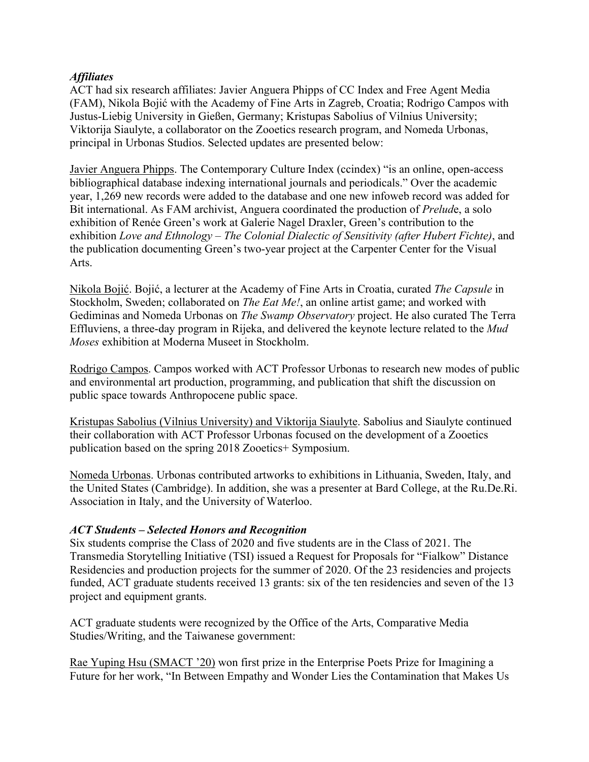#### *Affiliates*

ACT had six research affiliates: Javier Anguera Phipps of CC Index and Free Agent Media (FAM), Nikola Bojić with the Academy of Fine Arts in Zagreb, Croatia; Rodrigo Campos with Justus-Liebig University in Gießen, Germany; Kristupas Sabolius of Vilnius University; Viktorija Siaulyte, a collaborator on the Zooetics research program, and Nomeda Urbonas, principal in Urbonas Studios. Selected updates are presented below:

Javier Anguera Phipps. The Contemporary Culture Index (ccindex) "is an online, open-access bibliographical database indexing international journals and periodicals." Over the academic year, 1,269 new records were added to the database and one new infoweb record was added for Bit international. As FAM archivist, Anguera coordinated the production of *Prelud*e, a solo exhibition of Renée Green's work at Galerie Nagel Draxler, Green's contribution to the exhibition *Love and Ethnology – The Colonial Dialectic of Sensitivity (after Hubert Fichte)*, and the publication documenting Green's two-year project at the Carpenter Center for the Visual Arts.

Nikola Bojić. Bojić, a lecturer at the Academy of Fine Arts in Croatia, curated *The Capsule* in Stockholm, Sweden; collaborated on *The Eat Me!*, an online artist game; and worked with Gediminas and Nomeda Urbonas on *The Swamp Observatory* project. He also curated The Terra Effluviens, a three-day program in Rijeka, and delivered the keynote lecture related to the *Mud Moses* exhibition at Moderna Museet in Stockholm.

Rodrigo Campos. Campos worked with ACT Professor Urbonas to research new modes of public and environmental art production, programming, and publication that shift the discussion on public space towards Anthropocene public space.

Kristupas Sabolius (Vilnius University) and Viktorija Siaulyte. Sabolius and Siaulyte continued their collaboration with ACT Professor Urbonas focused on the development of a Zooetics publication based on the spring 2018 Zooetics+ Symposium.

Nomeda Urbonas. Urbonas contributed artworks to exhibitions in Lithuania, Sweden, Italy, and the United States (Cambridge). In addition, she was a presenter at Bard College, at the Ru.De.Ri. Association in Italy, and the University of Waterloo.

#### *ACT Students – Selected Honors and Recognition*

Six students comprise the Class of 2020 and five students are in the Class of 2021. The Transmedia Storytelling Initiative (TSI) issued a Request for Proposals for "Fialkow" Distance Residencies and production projects for the summer of 2020. Of the 23 residencies and projects funded, ACT graduate students received 13 grants: six of the ten residencies and seven of the 13 project and equipment grants.

ACT graduate students were recognized by the Office of the Arts, Comparative Media Studies/Writing, and the Taiwanese government:

Rae Yuping Hsu (SMACT '20) won first prize in the Enterprise Poets Prize for Imagining a Future for her work, "In Between Empathy and Wonder Lies the Contamination that Makes Us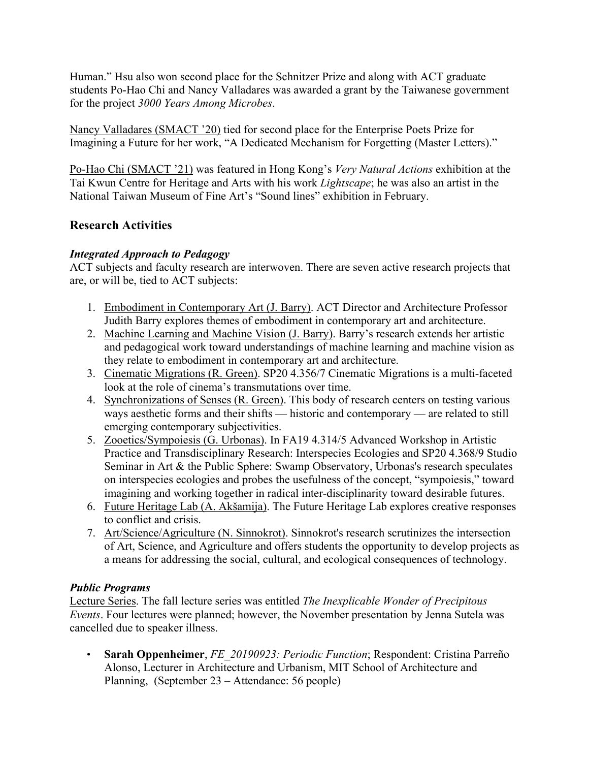Human." Hsu also won second place for the Schnitzer Prize and along with ACT graduate students Po-Hao Chi and Nancy Valladares was awarded a grant by the Taiwanese government for the project *3000 Years Among Microbes*.

Nancy Valladares (SMACT '20) tied for second place for the Enterprise Poets Prize for Imagining a Future for her work, "A Dedicated Mechanism for Forgetting (Master Letters)."

Po-Hao Chi (SMACT '21) was featured in Hong Kong's *Very Natural Actions* exhibition at the Tai Kwun Centre for Heritage and Arts with his work *Lightscape*; he was also an artist in the National Taiwan Museum of Fine Art's "Sound lines" exhibition in February.

# **Research Activities**

## *Integrated Approach to Pedagogy*

ACT subjects and faculty research are interwoven. There are seven active research projects that are, or will be, tied to ACT subjects:

- 1. Embodiment in Contemporary Art (J. Barry). ACT Director and Architecture Professor Judith Barry explores themes of embodiment in contemporary art and architecture.
- 2. Machine Learning and Machine Vision (J. Barry). Barry's research extends her artistic and pedagogical work toward understandings of machine learning and machine vision as they relate to embodiment in contemporary art and architecture.
- 3. Cinematic Migrations (R. Green). SP20 4.356/7 Cinematic Migrations is a multi-faceted look at the role of cinema's transmutations over time.
- 4. Synchronizations of Senses (R. Green). This body of research centers on testing various ways aesthetic forms and their shifts — historic and contemporary — are related to still emerging contemporary subjectivities.
- 5. Zooetics/Sympoiesis (G. Urbonas). In FA19 4.314/5 Advanced Workshop in Artistic Practice and Transdisciplinary Research: Interspecies Ecologies and SP20 4.368/9 Studio Seminar in Art & the Public Sphere: Swamp Observatory, Urbonas's research speculates on interspecies ecologies and probes the usefulness of the concept, "sympoiesis," toward imagining and working together in radical inter-disciplinarity toward desirable futures.
- 6. Future Heritage Lab (A. Akšamija). The Future Heritage Lab explores creative responses to conflict and crisis.
- 7. Art/Science/Agriculture (N. Sinnokrot). Sinnokrot's research scrutinizes the intersection of Art, Science, and Agriculture and offers students the opportunity to develop projects as a means for addressing the social, cultural, and ecological consequences of technology.

## *Public Programs*

Lecture Series. The fall lecture series was entitled *The Inexplicable Wonder of Precipitous Events*. Four lectures were planned; however, the November presentation by Jenna Sutela was cancelled due to speaker illness.

• **Sarah Oppenheimer**, *FE\_20190923: Periodic Function*; Respondent: Cristina Parreño Alonso, Lecturer in Architecture and Urbanism, MIT School of Architecture and Planning, (September 23 – Attendance: 56 people)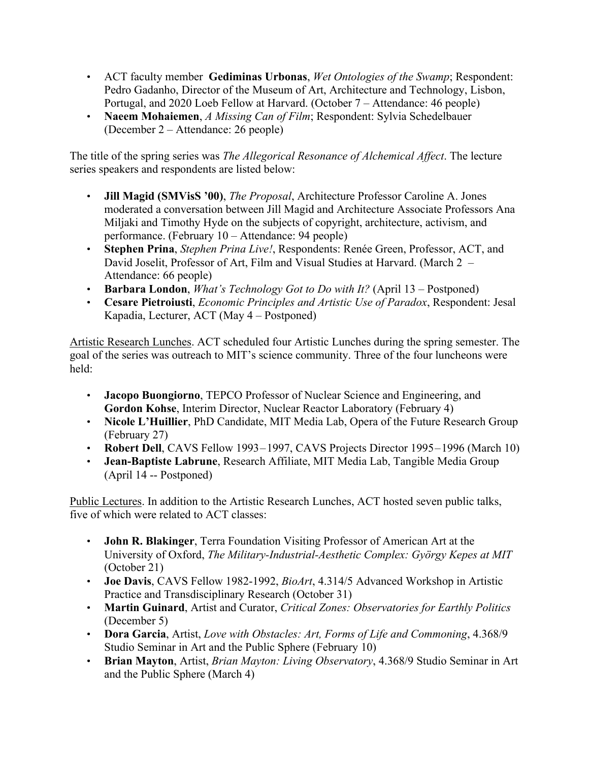- ACT faculty member **Gediminas Urbonas**, *Wet Ontologies of the Swamp*; Respondent: Pedro Gadanho, Director of the Museum of Art, Architecture and Technology, Lisbon, Portugal, and 2020 Loeb Fellow at Harvard. (October 7 – Attendance: 46 people)
- **Naeem Mohaiemen**, *A Missing Can of Film*; Respondent: Sylvia Schedelbauer (December 2 – Attendance: 26 people)

The title of the spring series was *The Allegorical Resonance of Alchemical Affect*. The lecture series speakers and respondents are listed below:

- **Jill Magid (SMVisS '00)**, *The Proposal*, Architecture Professor Caroline A. Jones moderated a conversation between Jill Magid and Architecture Associate Professors Ana Miljaki and Timothy Hyde on the subjects of copyright, architecture, activism, and performance. (February 10 – Attendance: 94 people)
- **Stephen Prina**, *Stephen Prina Live!*, Respondents: Renée Green, Professor, ACT, and David Joselit, Professor of Art, Film and Visual Studies at Harvard. (March 2 – Attendance: 66 people)
- **Barbara London**, *What's Technology Got to Do with It?* (April 13 Postponed)
- **Cesare Pietroiusti**, *Economic Principles and Artistic Use of Paradox*, Respondent: Jesal Kapadia, Lecturer, ACT (May 4 – Postponed)

Artistic Research Lunches. ACT scheduled four Artistic Lunches during the spring semester. The goal of the series was outreach to MIT's science community. Three of the four luncheons were held:

- **Jacopo Buongiorno**, TEPCO Professor of Nuclear Science and Engineering, and **Gordon Kohse**, Interim Director, Nuclear Reactor Laboratory (February 4)
- **Nicole L'Huillier**, PhD Candidate, MIT Media Lab, Opera of the Future Research Group (February 27)
- **Robert Dell**, CAVS Fellow 1993–1997, CAVS Projects Director 1995–1996 (March 10)
- **Jean-Baptiste Labrune**, Research Affiliate, MIT Media Lab, Tangible Media Group (April 14 -- Postponed)

Public Lectures. In addition to the Artistic Research Lunches, ACT hosted seven public talks, five of which were related to ACT classes:

- **John R. Blakinger**, Terra Foundation Visiting Professor of American Art at the University of Oxford, *The Military-Industrial-Aesthetic Complex: György Kepes at MIT* (October 21)
- **Joe Davis**, CAVS Fellow 1982-1992, *BioArt*, 4.314/5 Advanced Workshop in Artistic Practice and Transdisciplinary Research (October 31)
- **Martin Guinard**, Artist and Curator, *Critical Zones: Observatories for Earthly Politics* (December 5)
- **Dora Garcia**, Artist, *Love with Obstacles: Art, Forms of Life and Commoning*, 4.368/9 Studio Seminar in Art and the Public Sphere (February 10)
- **Brian Mayton**, Artist, *Brian Mayton: Living Observatory*, 4.368/9 Studio Seminar in Art and the Public Sphere (March 4)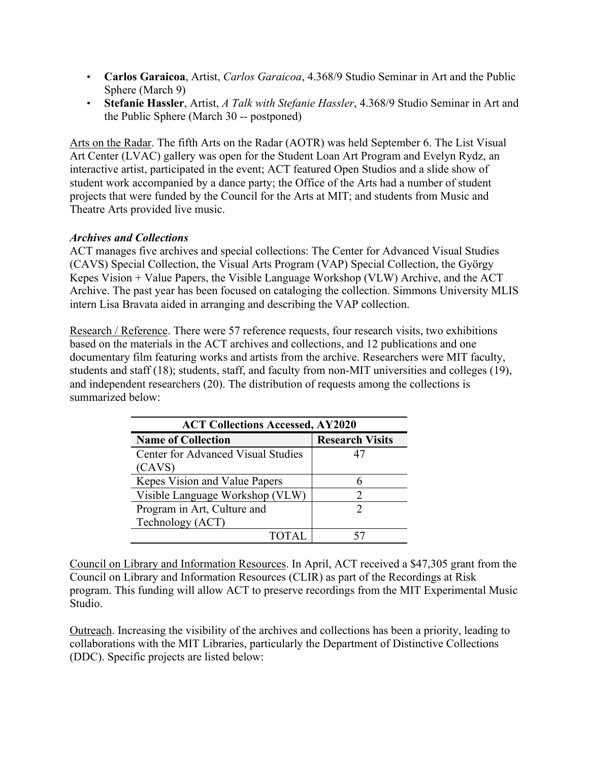- **Carlos Garaicoa**, Artist, *Carlos Garaicoa*, 4.368/9 Studio Seminar in Art and the Public Sphere (March 9)
- **Stefanie Hassler**, Artist, *A Talk with Stefanie Hassler*, 4.368/9 Studio Seminar in Art and the Public Sphere (March 30 -- postponed)

Arts on the Radar. The fifth Arts on the Radar (AOTR) was held September 6. The List Visual Art Center (LVAC) gallery was open for the Student Loan Art Program and Evelyn Rydz, an interactive artist, participated in the event; ACT featured Open Studios and a slide show of student work accompanied by a dance party; the Office of the Arts had a number of student projects that were funded by the Council for the Arts at MIT; and students from Music and Theatre Arts provided live music.

## *Archives and Collections*

ACT manages five archives and special collections: The Center for Advanced Visual Studies (CAVS) Special Collection, the Visual Arts Program (VAP) Special Collection, the György Kepes Vision + Value Papers, the Visible Language Workshop (VLW) Archive, and the ACT Archive. The past year has been focused on cataloging the collection. Simmons University MLIS intern Lisa Bravata aided in arranging and describing the VAP collection.

Research / Reference. There were 57 reference requests, four research visits, two exhibitions based on the materials in the ACT archives and collections, and 12 publications and one documentary film featuring works and artists from the archive. Researchers were MIT faculty, students and staff (18); students, staff, and faculty from non-MIT universities and colleges (19), and independent researchers (20). The distribution of requests among the collections is summarized below:

| <b>ACT Collections Accessed, AY2020</b>   |                        |  |  |  |
|-------------------------------------------|------------------------|--|--|--|
| <b>Name of Collection</b>                 | <b>Research Visits</b> |  |  |  |
| <b>Center for Advanced Visual Studies</b> | 47                     |  |  |  |
| (CAVS)                                    |                        |  |  |  |
| Kepes Vision and Value Papers             |                        |  |  |  |
| Visible Language Workshop (VLW)           |                        |  |  |  |
| Program in Art, Culture and               |                        |  |  |  |
| Technology (ACT)                          |                        |  |  |  |
| <b>TOTAL</b>                              |                        |  |  |  |

Council on Library and Information Resources. In April, ACT received a \$47,305 grant from the Council on Library and Information Resources (CLIR) as part of the Recordings at Risk program. This funding will allow ACT to preserve recordings from the MIT Experimental Music Studio.

Outreach. Increasing the visibility of the archives and collections has been a priority, leading to collaborations with the MIT Libraries, particularly the Department of Distinctive Collections (DDC). Specific projects are listed below: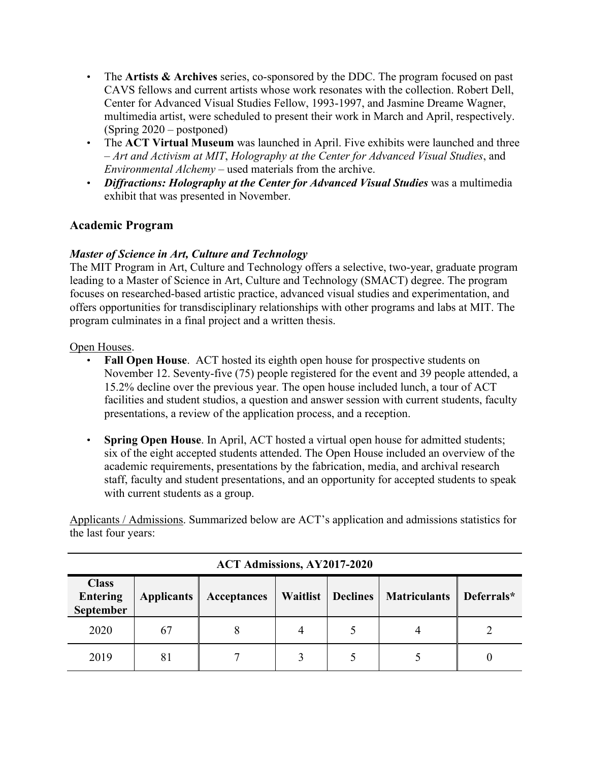- The **Artists & Archives** series, co-sponsored by the DDC. The program focused on past CAVS fellows and current artists whose work resonates with the collection. Robert Dell, Center for Advanced Visual Studies Fellow, 1993-1997, and Jasmine Dreame Wagner, multimedia artist, were scheduled to present their work in March and April, respectively. (Spring 2020 – postponed)
- The **ACT Virtual Museum** was launched in April. Five exhibits were launched and three – *Art and Activism at MIT*, *Holography at the Center for Advanced Visual Studies*, and *Environmental Alchemy* – used materials from the archive.
- *Diffractions: Holography at the Center for Advanced Visual Studies* was a multimedia exhibit that was presented in November.

# **Academic Program**

## *Master of Science in Art, Culture and Technology*

The MIT Program in Art, Culture and Technology offers a selective, two-year, graduate program leading to a Master of Science in Art, Culture and Technology (SMACT) degree. The program focuses on researched-based artistic practice, advanced visual studies and experimentation, and offers opportunities for transdisciplinary relationships with other programs and labs at MIT. The program culminates in a final project and a written thesis.

#### Open Houses.

- **Fall Open House**. ACT hosted its eighth open house for prospective students on November 12. Seventy-five (75) people registered for the event and 39 people attended, a 15.2% decline over the previous year. The open house included lunch, a tour of ACT facilities and student studios, a question and answer session with current students, faculty presentations, a review of the application process, and a reception.
- **Spring Open House**. In April, ACT hosted a virtual open house for admitted students; six of the eight accepted students attended. The Open House included an overview of the academic requirements, presentations by the fabrication, media, and archival research staff, faculty and student presentations, and an opportunity for accepted students to speak with current students as a group.

Applicants / Admissions. Summarized below are ACT's application and admissions statistics for the last four years:

| <b>Class</b><br><b>Entering</b><br><b>September</b> | <b>Applicants</b> | Acceptances | Waitlist | Declines | <b>Matriculants</b> | Deferrals* |
|-----------------------------------------------------|-------------------|-------------|----------|----------|---------------------|------------|
| 2020                                                | 67                |             |          |          |                     |            |
| 2019                                                | 81                |             |          |          |                     |            |

## **ACT Admissions, AY2017-2020**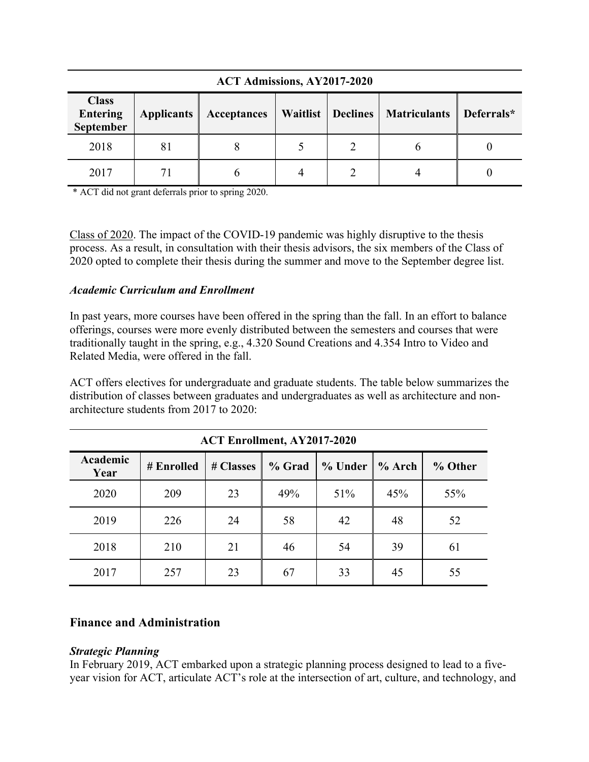| <b>Class</b><br><b>Entering</b><br>September | <b>Applicants</b> | Acceptances |  |  | Waitlist   Declines   Matriculants | Deferrals* |
|----------------------------------------------|-------------------|-------------|--|--|------------------------------------|------------|
| 2018                                         | 81                |             |  |  |                                    |            |
| 2017                                         |                   |             |  |  |                                    |            |

**ACT Admissions, AY2017-2020**

\* ACT did not grant deferrals prior to spring 2020.

Class of 2020. The impact of the COVID-19 pandemic was highly disruptive to the thesis process. As a result, in consultation with their thesis advisors, the six members of the Class of 2020 opted to complete their thesis during the summer and move to the September degree list.

## *Academic Curriculum and Enrollment*

In past years, more courses have been offered in the spring than the fall. In an effort to balance offerings, courses were more evenly distributed between the semesters and courses that were traditionally taught in the spring, e.g., 4.320 Sound Creations and 4.354 Intro to Video and Related Media, were offered in the fall.

ACT offers electives for undergraduate and graduate students. The table below summarizes the distribution of classes between graduates and undergraduates as well as architecture and nonarchitecture students from 2017 to 2020:

| <b>ACT Enrollment, AY2017-2020</b> |            |           |        |         |          |         |
|------------------------------------|------------|-----------|--------|---------|----------|---------|
| Academic<br>Year                   | # Enrolled | # Classes | % Grad | % Under | $%$ Arch | % Other |
| 2020                               | 209        | 23        | 49%    | 51%     | 45%      | 55%     |
| 2019                               | 226        | 24        | 58     | 42      | 48       | 52      |
| 2018                               | 210        | 21        | 46     | 54      | 39       | 61      |
| 2017                               | 257        | 23        | 67     | 33      | 45       | 55      |

## **Finance and Administration**

#### *Strategic Planning*

In February 2019, ACT embarked upon a strategic planning process designed to lead to a fiveyear vision for ACT, articulate ACT's role at the intersection of art, culture, and technology, and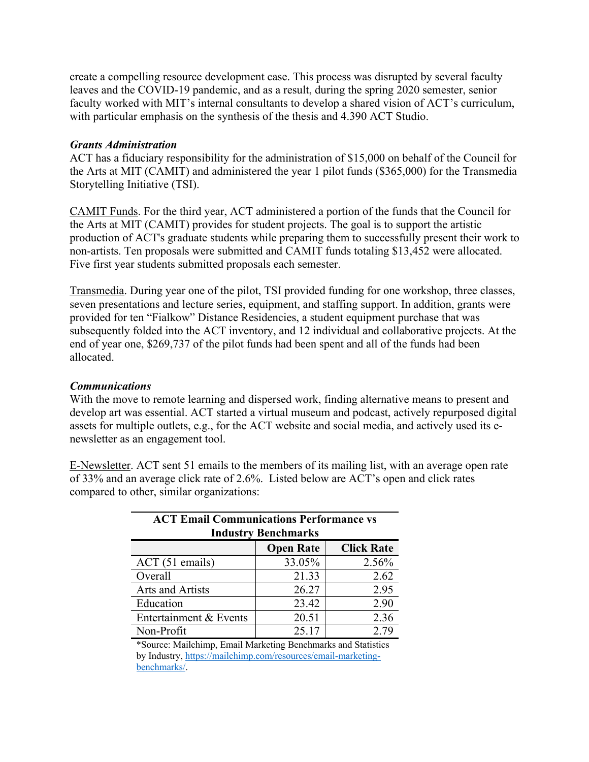create a compelling resource development case. This process was disrupted by several faculty leaves and the COVID-19 pandemic, and as a result, during the spring 2020 semester, senior faculty worked with MIT's internal consultants to develop a shared vision of ACT's curriculum, with particular emphasis on the synthesis of the thesis and 4.390 ACT Studio.

#### *Grants Administration*

ACT has a fiduciary responsibility for the administration of \$15,000 on behalf of the Council for the Arts at MIT (CAMIT) and administered the year 1 pilot funds (\$365,000) for the Transmedia Storytelling Initiative (TSI).

CAMIT Funds. For the third year, ACT administered a portion of the funds that the Council for the Arts at MIT (CAMIT) provides for student projects. The goal is to support the artistic production of ACT's graduate students while preparing them to successfully present their work to non-artists. Ten proposals were submitted and CAMIT funds totaling \$13,452 were allocated. Five first year students submitted proposals each semester.

Transmedia. During year one of the pilot, TSI provided funding for one workshop, three classes, seven presentations and lecture series, equipment, and staffing support. In addition, grants were provided for ten "Fialkow" Distance Residencies, a student equipment purchase that was subsequently folded into the ACT inventory, and 12 individual and collaborative projects. At the end of year one, \$269,737 of the pilot funds had been spent and all of the funds had been allocated.

#### *Communications*

With the move to remote learning and dispersed work, finding alternative means to present and develop art was essential. ACT started a virtual museum and podcast, actively repurposed digital assets for multiple outlets, e.g., for the ACT website and social media, and actively used its enewsletter as an engagement tool.

E-Newsletter. ACT sent 51 emails to the members of its mailing list, with an average open rate of 33% and an average click rate of 2.6%. Listed below are ACT's open and click rates compared to other, similar organizations:

| <b>ACT Email Communications Performance vs</b><br><b>Industry Benchmarks</b> |        |       |  |  |  |
|------------------------------------------------------------------------------|--------|-------|--|--|--|
| <b>Click Rate</b><br><b>Open Rate</b>                                        |        |       |  |  |  |
| ACT (51 emails)                                                              | 33.05% | 2.56% |  |  |  |
| Overall                                                                      | 21.33  | 2.62  |  |  |  |
| Arts and Artists                                                             | 26.27  | 2.95  |  |  |  |
| Education                                                                    | 23.42  | 2.90  |  |  |  |
| Entertainment & Events                                                       | 20.51  | 2.36  |  |  |  |
| Non-Profit                                                                   | 25.17  | 2.79  |  |  |  |

\*Source: Mailchimp, Email Marketing Benchmarks and Statistics by Industry, [https://mailchimp.com/resources/email-marketing](https://mailchimp.com/resources/email-marketing-benchmarks/)[benchmarks/](https://mailchimp.com/resources/email-marketing-benchmarks/).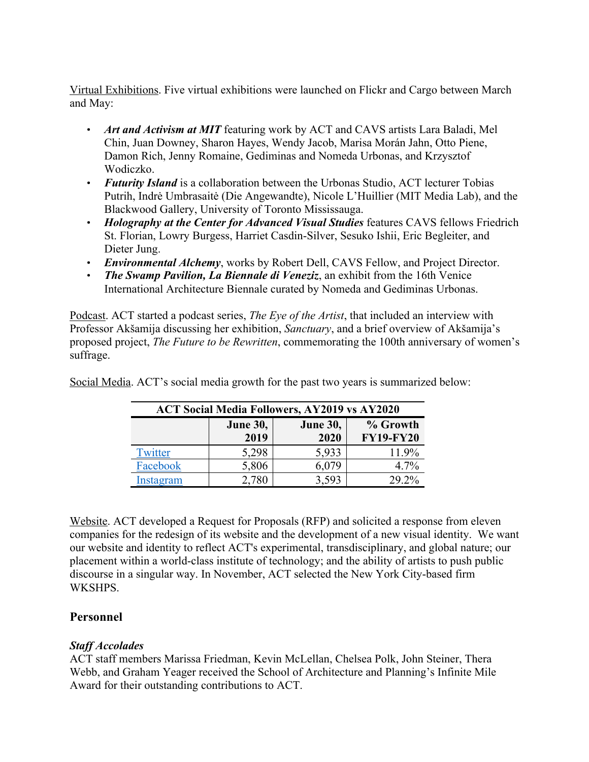Virtual Exhibitions. Five virtual exhibitions were launched on Flickr and Cargo between March and May:

- *Art and Activism at MIT* featuring work by ACT and CAVS artists Lara Baladi, Mel Chin, Juan Downey, Sharon Hayes, Wendy Jacob, Marisa Morán Jahn, Otto Piene, Damon Rich, Jenny Romaine, Gediminas and Nomeda Urbonas, and Krzysztof Wodiczko.
- *Futurity Island* is a collaboration between the Urbonas Studio, ACT lecturer Tobias Putrih, Indrė Umbrasaitė (Die Angewandte), Nicole L'Huillier (MIT Media Lab), and the Blackwood Gallery, University of Toronto Mississauga.
- *Holography at the Center for Advanced Visual Studies* features CAVS fellows Friedrich St. Florian, Lowry Burgess, Harriet Casdin-Silver, Sesuko Ishii, Eric Begleiter, and Dieter Jung.
- *Environmental Alchemy*, works by Robert Dell, CAVS Fellow, and Project Director.
- *The Swamp Pavilion, La Biennale di Veneziz*, an exhibit from the 16th Venice International Architecture Biennale curated by Nomeda and Gediminas Urbonas.

Podcast. ACT started a podcast series, *The Eye of the Artist*, that included an interview with Professor Akšamija discussing her exhibition, *Sanctuary*, and a brief overview of Akšamija's proposed project, *The Future to be Rewritten*, commemorating the 100th anniversary of women's suffrage.

| <b>ACT Social Media Followers, AY2019 vs AY2020</b> |                                    |       |                  |  |  |
|-----------------------------------------------------|------------------------------------|-------|------------------|--|--|
|                                                     | <b>June 30,</b><br><b>June 30,</b> |       | % Growth         |  |  |
|                                                     | 2019                               | 2020  | <b>FY19-FY20</b> |  |  |
| Twitter                                             | 5,298                              | 5,933 | 11.9%            |  |  |
| Facebook                                            | 5,806                              | 6,079 | 4.7%             |  |  |
| Instagram                                           | 2.780                              | 3,593 | 29.2%            |  |  |

Social Media. ACT's social media growth for the past two years is summarized below:

Website. ACT developed a Request for Proposals (RFP) and solicited a response from eleven companies for the redesign of its website and the development of a new visual identity. We want our website and identity to reflect ACT's experimental, transdisciplinary, and global nature; our placement within a world-class institute of technology; and the ability of artists to push public discourse in a singular way. In November, ACT selected the New York City-based firm WKSHPS.

# **Personnel**

# *Staff Accolades*

ACT staff members Marissa Friedman, Kevin McLellan, Chelsea Polk, John Steiner, Thera Webb, and Graham Yeager received the School of Architecture and Planning's Infinite Mile Award for their outstanding contributions to ACT.